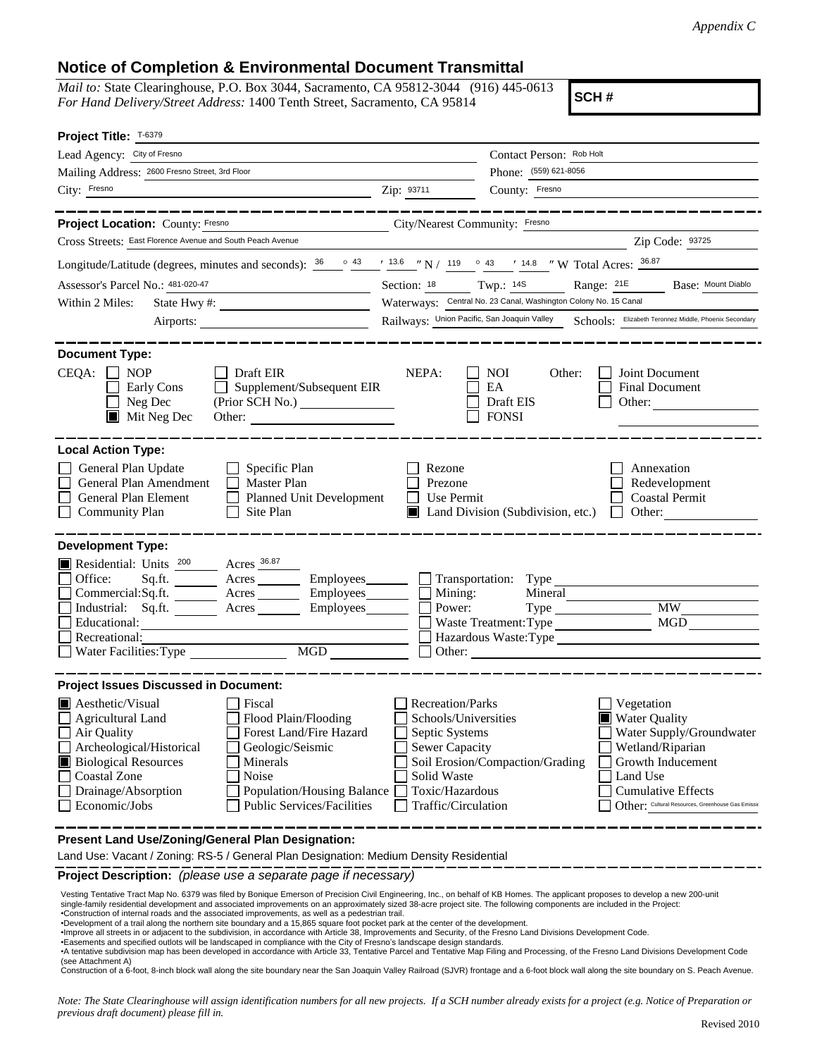*Appendix C*

## **Notice of Completion & Environmental Document Transmittal**

*Mail to:* State Clearinghouse, P.O. Box 3044, Sacramento, CA 95812-3044 (916) 445-0613 *For Hand Delivery/Street Address:* 1400 Tenth Street, Sacramento, CA 95814

**SCH #**

| Project Title: T-6379                                                                                                                                                                                                                                                                                                                                    |                                                                                                                                                                                                                                                                                                       |
|----------------------------------------------------------------------------------------------------------------------------------------------------------------------------------------------------------------------------------------------------------------------------------------------------------------------------------------------------------|-------------------------------------------------------------------------------------------------------------------------------------------------------------------------------------------------------------------------------------------------------------------------------------------------------|
| Lead Agency: City of Fresno                                                                                                                                                                                                                                                                                                                              | Contact Person: Rob Holt                                                                                                                                                                                                                                                                              |
| Mailing Address: 2600 Fresno Street, 3rd Floor                                                                                                                                                                                                                                                                                                           | Phone: (559) 621-8056                                                                                                                                                                                                                                                                                 |
| City: Fresno                                                                                                                                                                                                                                                                                                                                             | Zip: 93711<br>County: Fresno                                                                                                                                                                                                                                                                          |
|                                                                                                                                                                                                                                                                                                                                                          |                                                                                                                                                                                                                                                                                                       |
| Project Location: County: Fresno                                                                                                                                                                                                                                                                                                                         | City/Nearest Community: Fresno                                                                                                                                                                                                                                                                        |
| Cross Streets: East Florence Avenue and South Peach Avenue                                                                                                                                                                                                                                                                                               | Zip Code: 93725                                                                                                                                                                                                                                                                                       |
| Longitude/Latitude (degrees, minutes and seconds): $\frac{36}{26}$ $\frac{43}{13.6}$ $\frac{13.6}{13.6}$ $\frac{13.6}{13.6}$ $\frac{13.6}{13.6}$ $\frac{13.6}{13.6}$ $\frac{13.6}{13.6}$ $\frac{13.6}{13.6}$ $\frac{13.6}{13.6}$ $\frac{13.6}{13.6}$ $\frac{13.6}{13.6}$                                                                                 |                                                                                                                                                                                                                                                                                                       |
| Assessor's Parcel No.: 481-020-47<br><u> 1989 - Johann Barbara, martin a</u>                                                                                                                                                                                                                                                                             | Section: 18 Twp.: 14S<br>Base: Mount Diablo<br>Range: 21E                                                                                                                                                                                                                                             |
| Within 2 Miles:                                                                                                                                                                                                                                                                                                                                          | Waterways: Central No. 23 Canal, Washington Colony No. 15 Canal                                                                                                                                                                                                                                       |
|                                                                                                                                                                                                                                                                                                                                                          | Railways: Union Pacific, San Joaquin Valley Schools: Elizabeth Teronnez Middle, Phoenix Secondary                                                                                                                                                                                                     |
| <b>Document Type:</b><br><b>NOP</b><br>Draft EIR<br>$CEQA: \Box$<br>Supplement/Subsequent EIR<br>Early Cons<br>Neg Dec<br>$\blacksquare$ Mit Neg Dec<br>Other:                                                                                                                                                                                           | NEPA:<br><b>NOI</b><br>Other:<br>Joint Document<br>EA<br><b>Final Document</b><br>Draft EIS<br>Other: $\qquad \qquad$<br><b>FONSI</b>                                                                                                                                                                 |
| <b>Local Action Type:</b><br>General Plan Update<br>Specific Plan<br>General Plan Amendment<br>Master Plan<br>General Plan Element<br>Planned Unit Development<br><b>Community Plan</b><br>Site Plan                                                                                                                                                     | Rezone<br>Annexation<br>Prezone<br>Redevelopment<br>Use Permit<br><b>Coastal Permit</b><br>Land Division (Subdivision, etc.)<br>Other: $\qquad \qquad$<br>$\perp$                                                                                                                                     |
| <b>Development Type:</b>                                                                                                                                                                                                                                                                                                                                 |                                                                                                                                                                                                                                                                                                       |
| Residential: Units 200<br>$\frac{\text{A} \cdot \text{B}}{\text{A} \cdot \text{B}}$<br>Office:<br>Sq.ft.<br>Acres Employees<br>Commercial:Sq.ft.<br>Industrial: Sq.ft. _______ Acres _______ Employees_______<br>Educational:<br>Recreational:<br>MGD NG<br>Water Facilities: Type                                                                       | Acres Employees Transportation: Type<br>Mining:<br>Mineral<br>Power:<br>Waste Treatment: Type<br>Hazardous Waste:Type<br>Other:                                                                                                                                                                       |
|                                                                                                                                                                                                                                                                                                                                                          |                                                                                                                                                                                                                                                                                                       |
| <b>Project Issues Discussed in Document:</b><br><b>Aesthetic/Visual</b><br>Fiscal<br>Flood Plain/Flooding<br>Agricultural Land<br>Forest Land/Fire Hazard<br>Air Quality<br>Archeological/Historical<br>Geologic/Seismic<br><b>Biological Resources</b><br>Minerals<br><b>Coastal Zone</b><br>Noise<br>Drainage/Absorption<br>Population/Housing Balance | Recreation/Parks<br>Vegetation<br>Schools/Universities<br><b>Water Quality</b><br>Water Supply/Groundwater<br>Septic Systems<br>Sewer Capacity<br>Wetland/Riparian<br>Soil Erosion/Compaction/Grading<br>Growth Inducement<br>Solid Waste<br>Land Use<br>Toxic/Hazardous<br><b>Cumulative Effects</b> |
| Economic/Jobs<br><b>Public Services/Facilities</b><br>Present Land Use/Zoning/General Plan Designation:                                                                                                                                                                                                                                                  | Other: Cultural Resources, Greenhouse Gas Emissic<br>Traffic/Circulation                                                                                                                                                                                                                              |
| Land Use: Vacant / Zoning: RS-5 / General Plan Designation: Medium Density Residential                                                                                                                                                                                                                                                                   |                                                                                                                                                                                                                                                                                                       |

**Project Description:** *(please use a separate page if necessary)*

 Vesting Tentative Tract Map No. 6379 was filed by Bonique Emerson of Precision Civil Engineering, Inc., on behalf of KB Homes. The applicant proposes to develop a new 200-unit single-family residential development and associated improvements on an approximately sized 38-acre project site. The following components are included in the Project: •Construction of internal roads and the associated improvements, as well as a pedestrian trail.

•Development of a trail along the northern site boundary and a 15,865 square foot pocket park at the center of the development.

∙Improve all streets in or adjacent to the subdivision, in accordance with Article 38, Improvements and Security, of the Fresno Land Divisions Development Code.<br>∙Easements and specified outlots will be landscaped in compl

•A tentative subdivision map has been developed in accordance with Article 33, Tentative Parcel and Tentative Map Filing and Processing, of the Fresno Land Divisions Development Code (see Attachment A)

Construction of a 6-foot, 8-inch block wall along the site boundary near the San Joaquin Valley Railroad (SJVR) frontage and a 6-foot block wall along the site boundary on S. Peach Avenue.

*Note: The State Clearinghouse will assign identification numbers for all new projects. If a SCH number already exists for a project (e.g. Notice of Preparation or previous draft document) please fill in.*